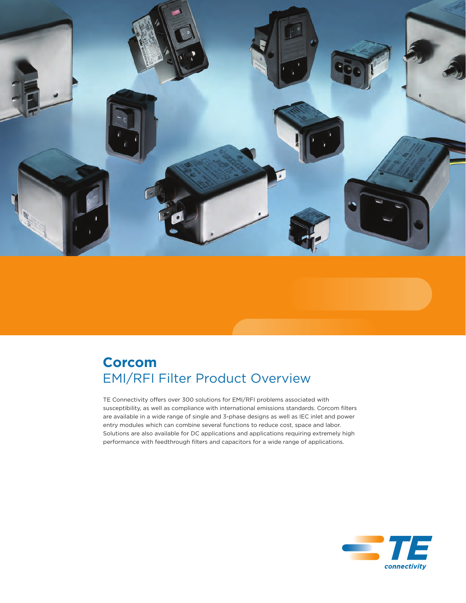

## **Corcom** EMI/RFI Filter Product Overview

TE Connectivity offers over 300 solutions for EMI/RFI problems associated with susceptibility, as well as compliance with international emissions standards. Corcom filters are available in a wide range of single and 3-phase designs as well as IEC inlet and power entry modules which can combine several functions to reduce cost, space and labor. Solutions are also available for DC applications and applications requiring extremely high performance with feedthrough filters and capacitors for a wide range of applications.

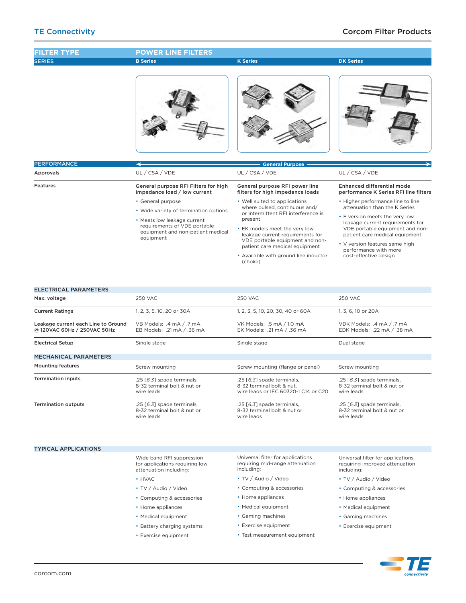

• Medical equipment • Gaming machines • Exercise equipment

• Test measurement equipment

- Home appliances
	- Medical equipment
	- • Gaming machines
	- • Exercise equipment
		-

• Home appliances • Medical equipment • Battery charging systems • Exercise equipment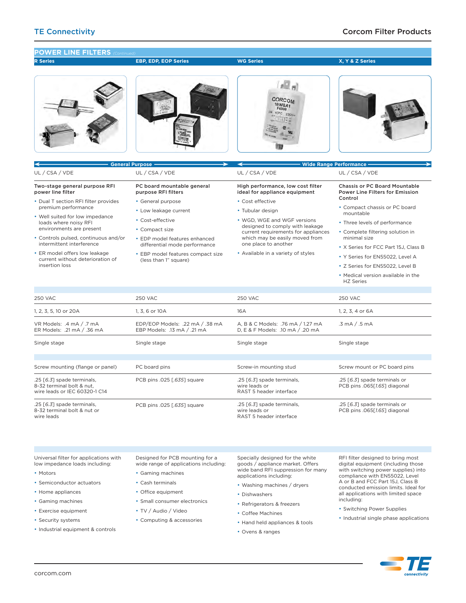**R Series EBP, EDP, EOP Series POWER LINE FILTERS** 

**WG Series**

**X, Y & Z Series**









|                                                                                                        | <b>General Purpose -</b>                                       | <b>Wide Range Performance -</b>                                        |                                                                                |  |  |
|--------------------------------------------------------------------------------------------------------|----------------------------------------------------------------|------------------------------------------------------------------------|--------------------------------------------------------------------------------|--|--|
| UL / CSA / VDE                                                                                         | UL / CSA / VDE                                                 | UL / CSA / VDE                                                         | UL / CSA / VDE                                                                 |  |  |
| Two-stage general purpose RFI<br>power line filter                                                     | PC board mountable general<br>purpose RFI filters              | High performance, low cost filter<br>ideal for appliance equipment     | <b>Chassis or PC Board Mountable</b><br><b>Power Line Filters for Emission</b> |  |  |
| • Dual T section RFI filter provides                                                                   | • General purpose                                              | • Cost effective                                                       | Control                                                                        |  |  |
| premium performance                                                                                    | • Low leakage current                                          | • Tubular design                                                       | • Compact chassis or PC board<br>mountable                                     |  |  |
| • Well suited for low impedance<br>loads where noisy RFI                                               | • Cost-effective                                               | • WGD. WGE and WGF versions                                            | • Three levels of performance                                                  |  |  |
| environments are present                                                                               | • Compact size                                                 | designed to comply with leakage<br>current requirements for appliances | • Complete filtering solution in<br>minimal size                               |  |  |
| • Controls pulsed, continuous and/or<br>intermittent interference                                      | • EDP model features enhanced                                  | which may be easily moved from<br>one place to another                 |                                                                                |  |  |
| • ER model offers low leakage                                                                          | differential mode performance                                  | • Available in a variety of styles                                     | • X Series for FCC Part 15J, Class B                                           |  |  |
| current without deterioration of                                                                       | • EBP model features compact size<br>(less than 1" square)     |                                                                        | • Y Series for EN55022. Level A                                                |  |  |
| insertion loss                                                                                         |                                                                |                                                                        | • Z Series for EN55022. Level B                                                |  |  |
|                                                                                                        |                                                                |                                                                        | • Medical version available in the<br><b>HZ Series</b>                         |  |  |
|                                                                                                        |                                                                |                                                                        |                                                                                |  |  |
| <b>250 VAC</b><br><b>250 VAC</b>                                                                       |                                                                | <b>250 VAC</b>                                                         | <b>250 VAC</b>                                                                 |  |  |
| 1, 2, 3, 5, 10 or 20A                                                                                  | 1.3.6 or 10A                                                   | 16A                                                                    | 1, 2, 3, 4 or 6A                                                               |  |  |
| VR Models: .4 mA / .7 mA<br>ER Models: .21 mA / .36 mA                                                 | EDP/EOP Models: .22 mA / .38 mA<br>EBP Models: .13 mA / .21 mA | A. B & C Models: .76 mA / 1.27 mA<br>D, E & F Models: .10 mA / .20 mA  | $.3 \text{ mA} / .5 \text{ mA}$                                                |  |  |
| Single stage                                                                                           | Single stage                                                   | Single stage                                                           | Single stage                                                                   |  |  |
|                                                                                                        |                                                                |                                                                        |                                                                                |  |  |
| Screw mounting (flange or panel)                                                                       | PC board pins                                                  | Screw-in mounting stud                                                 | Screw mount or PC board pins                                                   |  |  |
| .25 [6.3] spade terminals,<br>8-32 terminal bolt & nut.<br>wire leads or IEC 60320-1 C14               | PCB pins .025 [.635] square                                    | .25 [6.3] spade terminals,<br>wire leads or<br>RAST 5 header interface | .25 [6.3] spade terminals or<br>PCB pins .065[1.65] diagonal                   |  |  |
| .25 [6.3] spade terminals,<br>PCB pins .025 [.635] square<br>8-32 terminal bolt & nut or<br>wire leads |                                                                | .25 [6.3] spade terminals,<br>wire leads or<br>RAST 5 header interface | .25 [6.3] spade terminals or<br>PCB pins .065[1.65] diagonal                   |  |  |

Universal filter for applications with low impedance loads including:

- • Motors
- • Semiconductor actuators
- Home appliances
- • Gaming machines
- • Exercise equipment
- Security systems
- • Industrial equipment & controls

Designed for PCB mounting for a wide range of applications including:

- • Gaming machines
- • Cash terminals
- Office equipment
- • Small consumer electronics
- TV / Audio / Video
- • Computing & accessories

Specially designed for the white goods / appliance market. Offers wide band RFI suppression for many applications including:

- • Washing machines / dryers
- • Dishwashers
- • Refrigerators & freezers
	- Coffee Machines
	- Hand held appliances & tools
	- • Ovens & ranges

RFI filter designed to bring most digital equipment (including those with switching power supplies) into compliance with EN55022, Level A or B and FCC Part 15J, Class B conducted emission limits. Ideal for all applications with limited space including:

- • Switching Power Supplies
- Industrial single phase applications

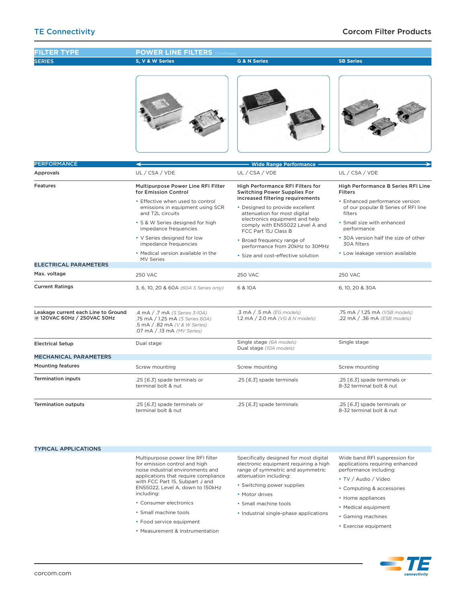| <b>FILTER TYPE</b>                                                 | <b>POWER LINE FILTERS</b> (Continued)                                                                                                                                                                                                              |                                                                                                                                                                                                                                                                             |                                                                                                                                                                                                                               |  |  |
|--------------------------------------------------------------------|----------------------------------------------------------------------------------------------------------------------------------------------------------------------------------------------------------------------------------------------------|-----------------------------------------------------------------------------------------------------------------------------------------------------------------------------------------------------------------------------------------------------------------------------|-------------------------------------------------------------------------------------------------------------------------------------------------------------------------------------------------------------------------------|--|--|
| <b>SERIES</b>                                                      | S, V & W Series                                                                                                                                                                                                                                    | <b>G &amp; N Series</b>                                                                                                                                                                                                                                                     | <b>SB Series</b>                                                                                                                                                                                                              |  |  |
|                                                                    |                                                                                                                                                                                                                                                    |                                                                                                                                                                                                                                                                             |                                                                                                                                                                                                                               |  |  |
| <b>PERFORMANCE</b>                                                 |                                                                                                                                                                                                                                                    | <b>Wide Range Performance</b>                                                                                                                                                                                                                                               |                                                                                                                                                                                                                               |  |  |
| Approvals                                                          | UL / CSA / VDE                                                                                                                                                                                                                                     | UL / CSA / VDE                                                                                                                                                                                                                                                              | UL / CSA / VDE                                                                                                                                                                                                                |  |  |
| Features                                                           | Multipurpose Power Line RFI Filter<br>for Emission Control<br>• Effective when used to control<br>emissions in equipment using SCR<br>and T2L circuits<br>· S & W Series designed for high<br>impedance frequencies<br>• V Series designed for low | High Performance RFI Filters for<br><b>Switching Power Supplies For</b><br>increased filtering requirements<br>• Designed to provide excellent<br>attenuation for most digital<br>electronics equipment and help<br>comply with EN55022 Level A and<br>FCC Part 15J Class B | High Performance B Series RFI Line<br><b>Filters</b><br>• Enhanced performance version<br>of our popular B Series of RFI line<br>filters<br>· Small size with enhanced<br>performance<br>• 30A version half the size of other |  |  |
|                                                                    | impedance frequencies                                                                                                                                                                                                                              | • Broad frequency range of<br>performance from 20kHz to 30MHz                                                                                                                                                                                                               | 30A filters                                                                                                                                                                                                                   |  |  |
|                                                                    | • Medical version available in the<br>• Size and cost-effective solution<br>MV Series                                                                                                                                                              |                                                                                                                                                                                                                                                                             | • Low leakage version available                                                                                                                                                                                               |  |  |
| <b>ELECTRICAL PARAMETERS</b>                                       |                                                                                                                                                                                                                                                    |                                                                                                                                                                                                                                                                             |                                                                                                                                                                                                                               |  |  |
| Max. voltage                                                       | <b>250 VAC</b>                                                                                                                                                                                                                                     | <b>250 VAC</b>                                                                                                                                                                                                                                                              | <b>250 VAC</b>                                                                                                                                                                                                                |  |  |
| <b>Current Ratings</b>                                             | 3, 6, 10, 20 & 60A (60A S Series only)                                                                                                                                                                                                             | 6 & 10 A                                                                                                                                                                                                                                                                    | 6, 10, 20 & 30A                                                                                                                                                                                                               |  |  |
| Leakage current each Line to Ground<br>@ 120VAC 60Hz / 250VAC 50Hz | .4 mA / .7 mA (S Series 3-10A)<br>.75 mA / 1.25 mA (S Series 60A)<br>.5 mA / .82 mA (V & W Series)<br>.07 mA / .13 mA (MV Series)                                                                                                                  | .3 mA / .5 mA (EG models)<br>1.2 mA / 2.0 mA (VG & N models)                                                                                                                                                                                                                | .75 mA / 1.25 mA (VSB models)<br>.22 mA / .36 mA (ESB models)                                                                                                                                                                 |  |  |
| <b>Electrical Setup</b>                                            | Dual stage                                                                                                                                                                                                                                         | Single stage (6A models)<br>Dual stage (10A models)                                                                                                                                                                                                                         | Single stage                                                                                                                                                                                                                  |  |  |
| <b>MECHANICAL PARAMETERS</b>                                       |                                                                                                                                                                                                                                                    |                                                                                                                                                                                                                                                                             |                                                                                                                                                                                                                               |  |  |
| <b>Mounting features</b>                                           | Screw mounting                                                                                                                                                                                                                                     | Screw mounting                                                                                                                                                                                                                                                              | Screw mounting                                                                                                                                                                                                                |  |  |
| <b>Termination inputs</b>                                          | .25 [6.3] spade terminals or<br>terminal bolt & nut                                                                                                                                                                                                | .25 [6.3] spade terminals<br>.25 [6.3] spade terminals or<br>8-32 terminal bolt & nut                                                                                                                                                                                       |                                                                                                                                                                                                                               |  |  |
| <b>Termination outputs</b>                                         | .25 [6.3] spade terminals or<br>terminal bolt & nut                                                                                                                                                                                                | .25 [6.3] spade terminals                                                                                                                                                                                                                                                   | .25 [6.3] spade terminals or<br>8-32 terminal bolt & nut                                                                                                                                                                      |  |  |

## TYPICAL APPLICATIONS

Multipurpose power line RFI filter for emission control and high noise industrial environments and applications that require compliance with FCC Part 15, Subpart J and EN55022, Level A, down to 150kHz including:

- • Consumer electronics
- • Small machine tools
- Food service equipment
- • Measurement & Instrumentation

Specifically designed for most digital electronic equipment requiring a high range of symmetric and asymmetric attenuation including:

- Switching power supplies
- Motor drives
- • Small machine tools
- • Industrial single-phase applications

Wide band RFI suppression for applications requiring enhanced performance including:

- TV / Audio / Video
	- • Computing & accessories
- Home appliances
- Medical equipment
- • Gaming machines
- • Exercise equipment

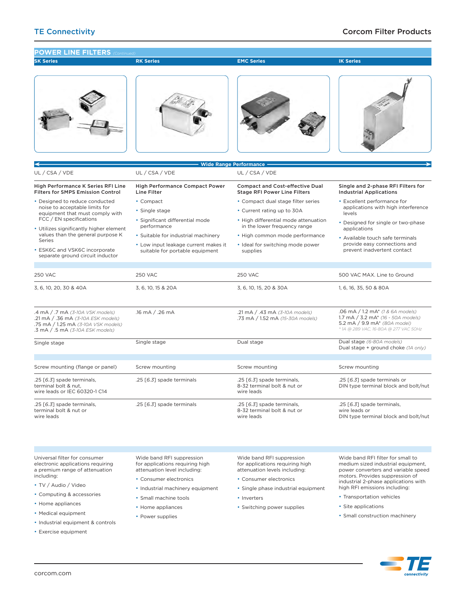

<sup>•</sup> Exercise equipment

corcom.com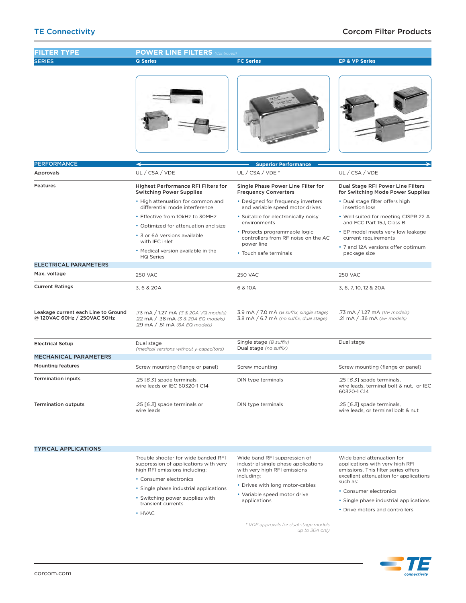

• Single phase industrial applications • Switching power supplies with

transient currents

• HVAC

- • Consumer electronics
- • Single phase industrial applications
- Drive motors and controllers

*\* VDE approvals for dual stage models up to 36A only*

• Variable speed motor drive

applications

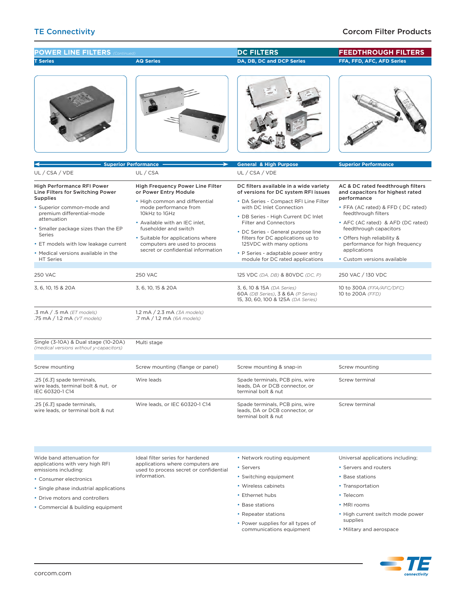**T Series Superior Performanc AQ Series DA, DB, DC and DCP Series General & High Purpose FFA, FFD, AFC, AFD Series Superior Performance POWER LINE FILTERS** *(Continued)* **DC FILTERS FEEDTHROUGH FILTERS** High Performance RFI Power Line Filters for Switching Power Supplies • Superior common-mode and premium differential-mode attenuation • Smaller package sizes than the EP Series • ET models with low leakage current • Medical versions available in the HT Series UL / CSA / VDE High Frequency Power Line Filter or Power Entry Module • High common and differential mode performance from 10kHz to 1GHz • Available with an IEC inlet, fuseholder and switch • Suitable for applications where computers are used to process secret or confidential information UL / CSA DC filters available in a wide variety of versions for DC system RFI issues • DA Series - Compact RFI Line Filter with DC Inlet Connection • DB Series - High Current DC Inlet Filter and Connectors • DC Series - General purpose line filters for DC applications up to 125VDC with many options • P Series - adaptable power entry module for DC rated applications UL / CSA / VDE AC & DC rated feedthrough filters and capacitors for highest rated performance FFA (AC rated) & FFD (DC rated) feedthrough filters • AFC (AC rated) & AFD (DC rated) feedthrough capacitors • Offers high reliability & performance for high frequency applications • Custom versions available 250 VAC 3, 6, 10, 15 & 20A .3 mA / .5 mA *(ET models)* .75 mA / 1.2 mA *(VT models)* Single (3-10A) & Dual stage (10-20A) *(medical versions without y-capacitors)* Screw mounting .25 [*6.3*] spade terminals, wire leads, terminal bolt & nut, or IEC 60320-1 C14 .25 [*6.3*] spade terminals, wire leads, or terminal bolt & nut 250 VAC 3, 6, 10, 15 & 20A 1.2 mA / 2.3 mA *(3A models)* .7 mA / 1.2 mA *(6A models)* Multi stage Screw mounting (flange or panel) Wire leads Wire leads, or IEC 60320-1 C14 125 VDC *(DA, DB)* & 80VDC *(DC, P)* 3, 6, 10 & 15A *(DA Series)* 60A *(DB Series)*, 3 & 6A *(P Series)* 15, 30, 60, 100 & 125A *(DA Series)* Screw mounting & snap-in Spade terminals, PCB pins, wire leads, DA or DCB connector, or terminal bolt & nut Spade terminals, PCB pins, wire leads, DA or DCB connector, or terminal bolt & nut 250 VAC / 130 VDC 10 to 300A *(FFA/AFC/DFC)* 10 to 200A *(FFD)* Screw mounting Screw terminal Screw terminal

Wide band attenuation for applications with very high RFI emissions including:

- • Consumer electronics
- • Single phase industrial applications
- Drive motors and controllers
- • Commercial & building equipment

Ideal filter series for hardened applications where computers are used to process secret or confidential information.

• Network routing equipment

• Servers

- • Switching equipment
- • Wireless cabinets
- • Ethernet hubs
- • Base stations
- Repeater stations
- Power supplies for all types of communications equipment
- Universal applications including;
- • Servers and routers
- Base stations
- Transportation
- • Telecom
- • MRI rooms
- High current switch mode power supplies
- • Military and aerospace

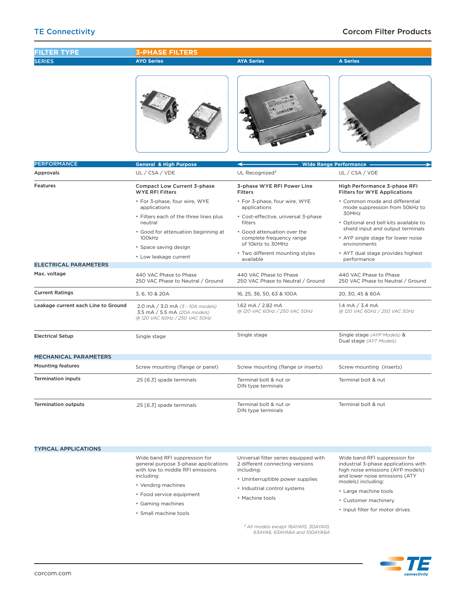| <b>FILTER TYPE</b>                  | <b>3-PHASE FILTERS</b>                                                                              |                                                                   |                                                                                         |  |  |  |
|-------------------------------------|-----------------------------------------------------------------------------------------------------|-------------------------------------------------------------------|-----------------------------------------------------------------------------------------|--|--|--|
| <b>SERIES</b>                       | <b>AYO Series</b>                                                                                   | <b>AYA Series</b>                                                 | <b>A Series</b>                                                                         |  |  |  |
|                                     |                                                                                                     | ORCOM                                                             |                                                                                         |  |  |  |
| <b>PERFORMANCE</b>                  |                                                                                                     |                                                                   |                                                                                         |  |  |  |
| Approvals                           | <b>General &amp; High Purpose</b><br>UL / CSA / VDE                                                 | <b>Wide Range Performance</b><br>UL Recognized <sup>2</sup>       | UL / CSA / VDE                                                                          |  |  |  |
| <b>Features</b>                     | <b>Compact Low Current 3-phase</b><br><b>WYE RFI Filters</b>                                        | 3-phase WYE RFI Power Line<br><b>Filters</b>                      | High Performance 3-phase RFI<br><b>Filters for WYE Applications</b>                     |  |  |  |
|                                     | • For 3-phase, four wire, WYE<br>applications                                                       | • For 3-phase, four wire, WYE<br>applications                     | • Common mode and differential<br>mode suppression from 50kHz to                        |  |  |  |
|                                     | • Filters each of the three lines plus<br>• Cost-effective, universal 3-phase<br>filters<br>neutral |                                                                   | 30MHz<br>• Optional end bell kits available to                                          |  |  |  |
|                                     | · Good for attenuation beginning at<br>100kHz                                                       | • Good attenuation over the<br>complete frequency range           | shield input and output terminals<br>• AYP single stage for lower noise<br>environments |  |  |  |
|                                     | • Space saving design<br>• Low leakage current                                                      | of 10kHz to 30MHz<br>• Two different mounting styles<br>available | • AYT dual stage provides highest                                                       |  |  |  |
| <b>ELECTRICAL PARAMETERS</b>        |                                                                                                     |                                                                   | performance                                                                             |  |  |  |
| Max. voltage                        | 440 VAC Phase to Phase<br>250 VAC Phase to Neutral / Ground                                         | 440 VAC Phase to Phase<br>250 VAC Phase to Neutral / Ground       | 440 VAC Phase to Phase<br>250 VAC Phase to Neutral / Ground                             |  |  |  |
| <b>Current Ratings</b>              | 3, 6, 10 & 20A                                                                                      | 16, 25, 36, 50, 63 & 100A                                         | 20, 30, 45 & 60A                                                                        |  |  |  |
| Leakage current each Line to Ground | 2.0 mA / 3.0 mA (3 - 10A models)<br>3.5 mA / 5.5 mA (20A models)<br>@ 120 VAC 60Hz / 250 VAC 50Hz   |                                                                   | 1.4 mA $/$ 3.4 mA<br>@ 120 VAC 60Hz / 250 VAC 50Hz                                      |  |  |  |
| <b>Electrical Setup</b>             | Single stage                                                                                        | Single stage                                                      | Single stage (AYP Models) &<br>Dual stage (AYT Models)                                  |  |  |  |
| <b>MECHANICAL PARAMETERS</b>        |                                                                                                     |                                                                   |                                                                                         |  |  |  |
| <b>Mounting features</b>            | Screw mounting (flange or panel)                                                                    | Screw mounting (flange or inserts)                                | Screw mounting (inserts)                                                                |  |  |  |
| <b>Termination inputs</b>           | .25 [6.3] spade terminals                                                                           | Terminal bolt & nut or<br>DIN type terminais                      | Terminal bolt & nut                                                                     |  |  |  |
| <b>Termination outputs</b>          | .25 [6.3] spade terminals                                                                           | Terminal bolt & nut or<br>DIN type terminals                      | Terminal bolt & nut                                                                     |  |  |  |
|                                     |                                                                                                     |                                                                   |                                                                                         |  |  |  |

TYPICAL APPLICATIONS

Wide band RFI suppression for general purpose 3-phase applications with low to middle RFI emissions including:

- Vending machines
- • Food service equipment
- • Gaming machines
- • Small machine tools

Universal filter series equipped with 2 different connecting versions including:

- • Uninterruptible power supplies
- Industrial control systems
- Machine tools

*² All models except 16AYA10, 30AYA10, 63AYA6, 63AYA6A and 100AYA6A*

Wide band RFI suppression for industrial 3-phase applications with high noise emissions (AYP models) and lower noise emissions (ATY models) including:

- • Large machine tools
- • Customer machinery
- Input filter for motor drives

connectivity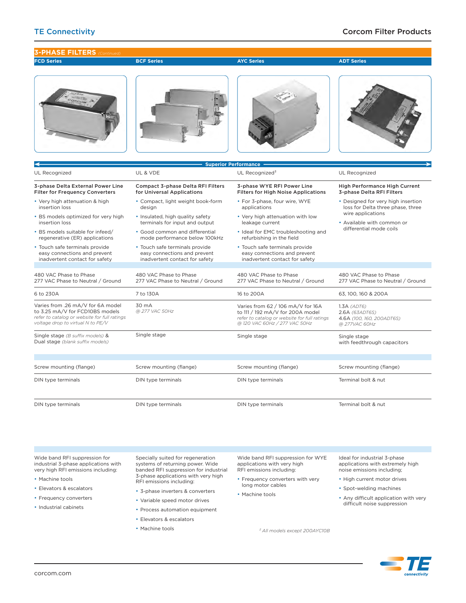## TE Connectivity Corcom Filter Products



Wide band RFI suppression for industrial 3-phase applications with very high RFI emissions including:

- Machine tools
- • Elevators & escalators
- Frequency converters
- • Industrial cabinets

Specially suited for regeneration systems of returning power. Wide banded RFI suppression for industrial 3-phase applications with very high RFI emissions including:

- • 3-phase inverters & converters
- • Variable speed motor drives
- Process automation equipment
- • Elevators & escalators
- Machine tools

Wide band RFI suppression for WYE applications with very high RFI emissions including:

- Frequency converters with very long motor cables
- Machine tools

Ideal for industrial 3-phase applications with extremely high noise emissions including;

- High current motor drives
	- • Spot-welding machines
	- Any difficult application with very difficult noise suppression

*² All models except 200AYC10B*

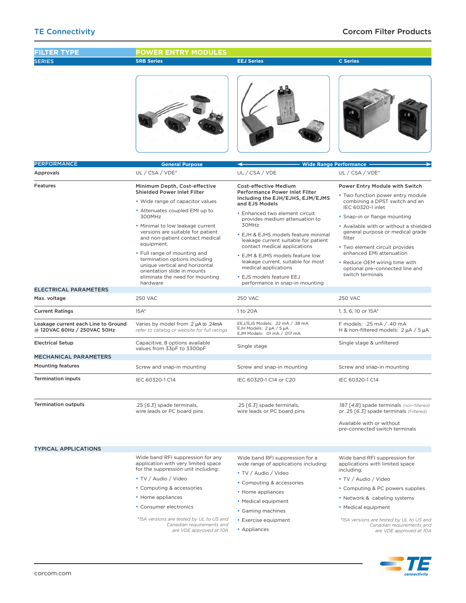| <b>FILTER TYPE</b>                                                 | <b>POWER ENTRY MODULES</b>                                                                                                                                                                                                                                                                                                                                                                                                                                     |                                                                                                                                                                                                                                                                                                                                                                                                                                               |                                                                                                                                                                                                                                                                                                                                                                                                          |  |
|--------------------------------------------------------------------|----------------------------------------------------------------------------------------------------------------------------------------------------------------------------------------------------------------------------------------------------------------------------------------------------------------------------------------------------------------------------------------------------------------------------------------------------------------|-----------------------------------------------------------------------------------------------------------------------------------------------------------------------------------------------------------------------------------------------------------------------------------------------------------------------------------------------------------------------------------------------------------------------------------------------|----------------------------------------------------------------------------------------------------------------------------------------------------------------------------------------------------------------------------------------------------------------------------------------------------------------------------------------------------------------------------------------------------------|--|
| <b>SERIES</b>                                                      | <b>SRB Series</b>                                                                                                                                                                                                                                                                                                                                                                                                                                              | <b>EEJ Series</b>                                                                                                                                                                                                                                                                                                                                                                                                                             | <b>C</b> Series                                                                                                                                                                                                                                                                                                                                                                                          |  |
|                                                                    |                                                                                                                                                                                                                                                                                                                                                                                                                                                                |                                                                                                                                                                                                                                                                                                                                                                                                                                               |                                                                                                                                                                                                                                                                                                                                                                                                          |  |
| <b>PERFORMANCE</b>                                                 | <b>General Purpose</b>                                                                                                                                                                                                                                                                                                                                                                                                                                         |                                                                                                                                                                                                                                                                                                                                                                                                                                               | <b>Wide Range Performance</b>                                                                                                                                                                                                                                                                                                                                                                            |  |
| Approvals                                                          | UL / CSA / VDE*                                                                                                                                                                                                                                                                                                                                                                                                                                                | UL / CSA / VDE                                                                                                                                                                                                                                                                                                                                                                                                                                | UL / CSA / VDE*                                                                                                                                                                                                                                                                                                                                                                                          |  |
| <b>Features</b>                                                    | Minimum Depth, Cost-effective<br><b>Shielded Power Inlet Filter</b><br>• Wide range of capacitor values<br>• Attenuates coupled EMI up to<br>300MHz<br>. Minimal to low leakage current<br>versions are suitable for patient<br>and non-patient contact medical<br>equipment.<br>• Full range of mounting and<br>termination options including<br>unique vertical and horizontal<br>orientation slide in mounts<br>eliminate the need for mounting<br>hardware | <b>Cost-effective Medium</b><br>Performance Power Inlet Filter<br>Including the EJH/EJHS, EJM/EJMS<br>and EJS Models<br>• Enhanced two element circuit<br>provides medium attenuation to<br>30MHz<br>• EJH & EJHS models feature minimal<br>leakage current suitable for patient<br>contact medical applications<br>• EJM & EJMS models feature low<br>leakage current, suitable for most<br>medical applications<br>• EJS models feature EEJ | Power Entry Module with Switch<br>• Two function power entry module<br>combining a DPST switch and an<br>IEC 60320-1 inlet<br>• Snap-in or flange mounting<br>• Available with or without a shielded<br>general purpose or medical grade<br>filter<br>• Two element circuit provides<br>enhanced EMI attenuation<br>• Reduce OEM wiring time with<br>optional pre-connected line and<br>switch terminals |  |
| <b>ELECTRICAL PARAMETERS</b>                                       |                                                                                                                                                                                                                                                                                                                                                                                                                                                                | performance in snap-in mounting                                                                                                                                                                                                                                                                                                                                                                                                               |                                                                                                                                                                                                                                                                                                                                                                                                          |  |
| Max. voltage                                                       | <b>250 VAC</b>                                                                                                                                                                                                                                                                                                                                                                                                                                                 | <b>250 VAC</b>                                                                                                                                                                                                                                                                                                                                                                                                                                | <b>250 VAC</b>                                                                                                                                                                                                                                                                                                                                                                                           |  |
| <b>Current Ratings</b>                                             | $15A*$                                                                                                                                                                                                                                                                                                                                                                                                                                                         | 1 to 20A                                                                                                                                                                                                                                                                                                                                                                                                                                      | 1, 3, 6, 10 or 15A*                                                                                                                                                                                                                                                                                                                                                                                      |  |
| Leakage current each Line to Ground<br>@ 120VAC 60Hz / 250VAC 50Hz | Varies by model from .2 µA to .24mA<br>refer to catalog or website for full ratings                                                                                                                                                                                                                                                                                                                                                                            |                                                                                                                                                                                                                                                                                                                                                                                                                                               | F models: .25 mA / .40 mA<br>H & non-filtered models: $2 \mu A / 5 \mu A$                                                                                                                                                                                                                                                                                                                                |  |
| <b>Electrical Setup</b>                                            | Capacitive, 8 options available<br>values from 33pF to 3300pF                                                                                                                                                                                                                                                                                                                                                                                                  |                                                                                                                                                                                                                                                                                                                                                                                                                                               | Single stage & unfiltered                                                                                                                                                                                                                                                                                                                                                                                |  |
| <b>MECHANICAL PARAMETERS</b>                                       |                                                                                                                                                                                                                                                                                                                                                                                                                                                                |                                                                                                                                                                                                                                                                                                                                                                                                                                               |                                                                                                                                                                                                                                                                                                                                                                                                          |  |
| <b>Mounting features</b>                                           | Screw and snap-in mounting                                                                                                                                                                                                                                                                                                                                                                                                                                     | Screw and snap-in mounting                                                                                                                                                                                                                                                                                                                                                                                                                    | Screw and snap-in mounting                                                                                                                                                                                                                                                                                                                                                                               |  |
| <b>Termination inputs</b>                                          | IEC 60320-1 C14                                                                                                                                                                                                                                                                                                                                                                                                                                                | IEC 60320-1 C14 or C20                                                                                                                                                                                                                                                                                                                                                                                                                        | IEC 60320-1 C14                                                                                                                                                                                                                                                                                                                                                                                          |  |
| <b>Termination outputs</b>                                         | .25 [6.3] spade terminals,<br>wire leads or PC board pins                                                                                                                                                                                                                                                                                                                                                                                                      | .25 [6.3] spade terminals,<br>(non-filtered) spade terminals (non-filtered)<br>wire leads or PC board pins<br>or .25 [6.3] spade terminals (Filtered)<br>Available with or without<br>pre-connected switch terminals                                                                                                                                                                                                                          |                                                                                                                                                                                                                                                                                                                                                                                                          |  |
| <b>TYPICAL APPLICATIONS</b>                                        |                                                                                                                                                                                                                                                                                                                                                                                                                                                                |                                                                                                                                                                                                                                                                                                                                                                                                                                               |                                                                                                                                                                                                                                                                                                                                                                                                          |  |
|                                                                    | Wide band RFI suppression for any<br>application with very limited space<br>for the suppression unit including:<br>• TV / Audio / Video<br>• Computing & accessories<br>• Home appliances<br>• Consumer electronics                                                                                                                                                                                                                                            | Wide band RFI suppression for a<br>wide range of applications including:<br>• TV / Audio / Video<br>• Computing & accessories<br>• Home appliances<br>• Medical equipment<br>• Gaming machines                                                                                                                                                                                                                                                | Wide band RFI suppression for<br>applications with limited space<br>including:<br>• TV / Audio / Video<br>• Computing & PC powers supplies<br>• Network & cabeling systems<br>• Medical equipment                                                                                                                                                                                                        |  |
|                                                                    | *15A versions are tested by UL to US and<br>Canadian requirements and<br>are VDE approved at 10A                                                                                                                                                                                                                                                                                                                                                               | • Exercise equipment<br>• Appliances                                                                                                                                                                                                                                                                                                                                                                                                          | *15A versions are tested by UL to US and<br>Canadian requirements and<br>are VDE approved at 10A                                                                                                                                                                                                                                                                                                         |  |

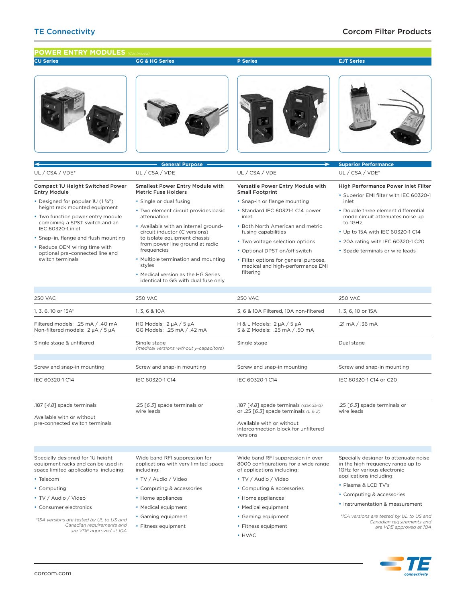### **CU Series P Series EJT Series GG & HG Series POWER ENTRY MODULES General Purpose** 250 VAC 1, 3, 6, 10 or 15A\* Filtered models: .25 mA / .40 mA Non-filtered models: 2 µA / 5 µA Single stage & unfiltered Screw and snap-in mounting IEC 60320-1 C14 .187 [*4.8*] spade terminals Available with or without pre-connected switch terminals Specially designed for 1U height equipment racks and can be used in space limited applications including: • Telecom • Computing • TV / Audio / Video • Consumer electronics **Superior Perfo** 250 VAC 3, 6 & 10A Filtered, 10A non-filtered H & L Models: 2 µA / 5 µA S & Z Models: .25 mA / .50 mA Single stage Screw and snap-in mounting IEC 60320-1 C14 .187 [*4.8*] spade terminals *(standard)* or .25 [*6.3*] spade terminals *(L & Z)* Available with or without interconnection block for unfiltered versions Wide band RFI suppression in over 8000 configurations for a wide range of applications including: • TV / Audio / Video • Computing & accessories • Home appliances • Medical equipment Compact 1U Height Switched Power Entry Module • Designed for popular 1U (1 3/4") height rack mounted equipment Two function power entry module combining a SPST switch and an IEC 60320-1 inlet • Snap–in, flange and flush mounting • Reduce OEM wiring time with optional pre–connected line and switch terminals UL / CSA / VDE\* Versatile Power Entry Module with Small Footprint • Snap-in or flange mounting • Standard IEC 60321-1 C14 power inlet • Both North American and metric fusing capabilities • Two voltage selection options • Optional DPST on/off switch • Filter options for general purpose, medical and high-performance EMI filtering UL / CSA / VDE 250 VAC 1, 3, 6, 10 or 15A .21 mA / .36 mA Dual stage Screw and snap-in mounting IEC 60320-1 C14 or C20 .25 [*6.3*] spade terminals or wire leads Specially designer to attenuate noise in the high frequency range up to 1GHz for various electronic applications including: • Plasma & LCD TV's • Computing & accessories • Instrumentation & measurement High Performance Power Inlet Filter • Superior EMI filter with IEC 60320-1 inlet • Double three element differential mode circuit attenuates noise up to 1GHz • Up to 15A with IEC 60320-1 C14 • 20A rating with IEC 60320-1 C20 • Spade terminals or wire leads UL / CSA / VDE\* 250 VAC 1, 3, 6 & 10A HG Models: 2 µA / 5 µA GG Models: .25 mA / .42 mA Single stage *(medical versions without y-capacitors)* Screw and snap-in mounting IEC 60320-1 C14 .25 [*6.3*] spade terminals or wire leads Wide band RFI suppression for applications with very limited space including: • TV / Audio / Video • Computing & accessories • Home appliances • Medical equipment Smallest Power Entry Module with Metric Fuse Holders • Single or dual fusing • Two element circuit provides basic attenuation • Available with an internal groundcircuit inductor (C versions) to isolate equipment chassis from power line ground at radio frequencies • Multiple termination and mounting styles • Medical version as the HG Series identical to GG with dual fuse only UL / CSA / VDE

• Gaming equipment • Fitness equipment

• HVAC

*\*15A versions are tested by UL to US and Canadian requirements and are VDE approved at 10A* • Gaming equipment • Fitness equipment

*\*15A versions are tested by UL to US and Canadian requirements and are VDE approved at 10A*

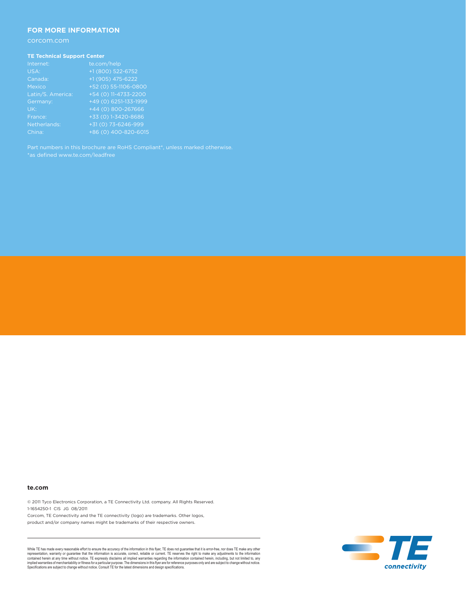## **FOR MORE INFORMATION**

### **TE Technical Support Center**

| Internet:         | te.com/help           |
|-------------------|-----------------------|
| USA:              | +1 (800) 522-6752     |
| Canada:           | +1 (905) 475-6222     |
| <b>Mexico</b>     | $+52(0)$ 55-1106-0800 |
| Latin/S. America: | +54 (0) 11-4733-2200  |
| Germany:          | $+49(0)6251-133-1999$ |
| UK:               | +44 (0) 800-267666    |
| France:           | +33 (0) 1-3420-8686   |
| Netherlands:      | +31 (0) 73-6246-999   |
| China:            | +86 (0) 400-820-6015  |

### **te.com**

© 2011 Tyco Electronics Corporation, a TE Connectivity Ltd. company. All Rights Reserved. 1-1654250-1 CIS JG 08/2011

Corcom, TE Connectivity and the TE connectivity (logo) are trademarks. Other logos, product and/or company names might be trademarks of their respective owners.

While TE has made every reasonable effort to ensure the accuracy of the information in this flyer, TE does not guarantee that the information is accuracy of the information is precise. The mean that it is encrefree, nor do